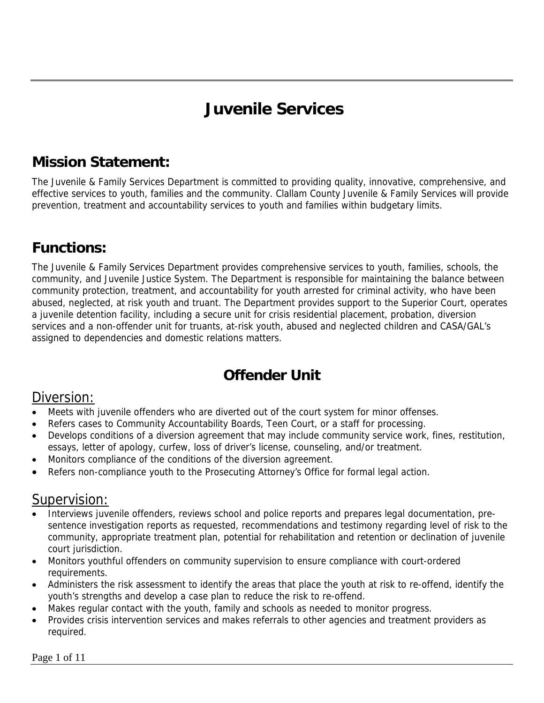# **Juvenile Services**

### **Mission Statement:**

The Juvenile & Family Services Department is committed to providing quality, innovative, comprehensive, and effective services to youth, families and the community. Clallam County Juvenile & Family Services will provide prevention, treatment and accountability services to youth and families within budgetary limits.

### **Functions:**

The Juvenile & Family Services Department provides comprehensive services to youth, families, schools, the community, and Juvenile Justice System. The Department is responsible for maintaining the balance between community protection, treatment, and accountability for youth arrested for criminal activity, who have been abused, neglected, at risk youth and truant. The Department provides support to the Superior Court, operates a juvenile detention facility, including a secure unit for crisis residential placement, probation, diversion services and a non-offender unit for truants, at-risk youth, abused and neglected children and CASA/GAL's assigned to dependencies and domestic relations matters.

### **Offender Unit**

#### Diversion:

- Meets with juvenile offenders who are diverted out of the court system for minor offenses.
- Refers cases to Community Accountability Boards, Teen Court, or a staff for processing.
- Develops conditions of a diversion agreement that may include community service work, fines, restitution, essays, letter of apology, curfew, loss of driver's license, counseling, and/or treatment.
- Monitors compliance of the conditions of the diversion agreement.
- Refers non-compliance youth to the Prosecuting Attorney's Office for formal legal action.

#### Supervision:

- Interviews juvenile offenders, reviews school and police reports and prepares legal documentation, presentence investigation reports as requested, recommendations and testimony regarding level of risk to the community, appropriate treatment plan, potential for rehabilitation and retention or declination of juvenile court jurisdiction.
- Monitors youthful offenders on community supervision to ensure compliance with court-ordered requirements.
- Administers the risk assessment to identify the areas that place the youth at risk to re-offend, identify the youth's strengths and develop a case plan to reduce the risk to re-offend.
- Makes regular contact with the youth, family and schools as needed to monitor progress.
- Provides crisis intervention services and makes referrals to other agencies and treatment providers as required.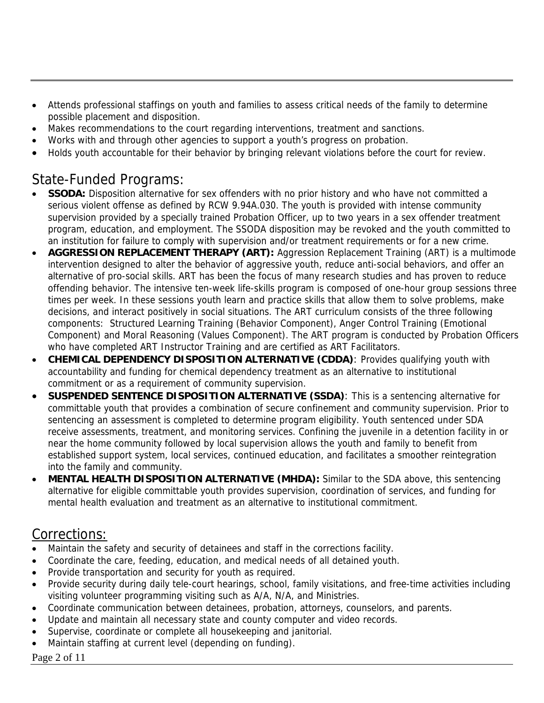- Attends professional staffings on youth and families to assess critical needs of the family to determine possible placement and disposition.
- Makes recommendations to the court regarding interventions, treatment and sanctions.
- Works with and through other agencies to support a youth's progress on probation.
- Holds youth accountable for their behavior by bringing relevant violations before the court for review.

#### State-Funded Programs:

- **SSODA:** Disposition alternative for sex offenders with no prior history and who have not committed a serious violent offense as defined by RCW 9.94A.030. The youth is provided with intense community supervision provided by a specially trained Probation Officer, up to two years in a sex offender treatment program, education, and employment. The SSODA disposition may be revoked and the youth committed to an institution for failure to comply with supervision and/or treatment requirements or for a new crime.
- **AGGRESSION REPLACEMENT THERAPY (ART):** Aggression Replacement Training (ART) is a multimode intervention designed to alter the behavior of aggressive youth, reduce anti-social behaviors, and offer an alternative of pro-social skills. ART has been the focus of many research studies and has proven to reduce offending behavior. The intensive ten-week life-skills program is composed of one-hour group sessions three times per week. In these sessions youth learn and practice skills that allow them to solve problems, make decisions, and interact positively in social situations. The ART curriculum consists of the three following components: Structured Learning Training (Behavior Component), Anger Control Training (Emotional Component) and Moral Reasoning (Values Component). The ART program is conducted by Probation Officers who have completed ART Instructor Training and are certified as ART Facilitators.
- **CHEMICAL DEPENDENCY DISPOSITION ALTERNATIVE (CDDA)**: Provides qualifying youth with accountability and funding for chemical dependency treatment as an alternative to institutional commitment or as a requirement of community supervision.
- **SUSPENDED SENTENCE DISPOSITION ALTERNATIVE (SSDA)**: This is a sentencing alternative for committable youth that provides a combination of secure confinement and community supervision. Prior to sentencing an assessment is completed to determine program eligibility. Youth sentenced under SDA receive assessments, treatment, and monitoring services. Confining the juvenile in a detention facility in or near the home community followed by local supervision allows the youth and family to benefit from established support system, local services, continued education, and facilitates a smoother reintegration into the family and community.
- **MENTAL HEALTH DISPOSITION ALTERNATIVE (MHDA):** Similar to the SDA above, this sentencing alternative for eligible committable youth provides supervision, coordination of services, and funding for mental health evaluation and treatment as an alternative to institutional commitment.

#### Corrections:

- Maintain the safety and security of detainees and staff in the corrections facility.
- Coordinate the care, feeding, education, and medical needs of all detained youth.
- Provide transportation and security for youth as required.
- Provide security during daily tele-court hearings, school, family visitations, and free-time activities including visiting volunteer programming visiting such as A/A, N/A, and Ministries.
- Coordinate communication between detainees, probation, attorneys, counselors, and parents.
- Update and maintain all necessary state and county computer and video records.
- Supervise, coordinate or complete all housekeeping and janitorial.
- Maintain staffing at current level (depending on funding).

#### Page 2 of 11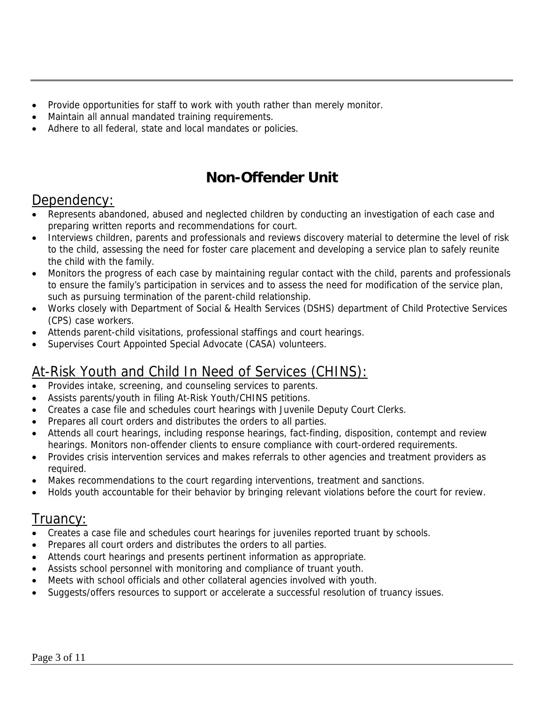- Provide opportunities for staff to work with youth rather than merely monitor.
- Maintain all annual mandated training requirements.
- Adhere to all federal, state and local mandates or policies.

### **Non-Offender Unit**

#### Dependency:

- Represents abandoned, abused and neglected children by conducting an investigation of each case and preparing written reports and recommendations for court.
- Interviews children, parents and professionals and reviews discovery material to determine the level of risk to the child, assessing the need for foster care placement and developing a service plan to safely reunite the child with the family.
- Monitors the progress of each case by maintaining regular contact with the child, parents and professionals to ensure the family's participation in services and to assess the need for modification of the service plan, such as pursuing termination of the parent-child relationship.
- Works closely with Department of Social & Health Services (DSHS) department of Child Protective Services (CPS) case workers.
- Attends parent-child visitations, professional staffings and court hearings.
- Supervises Court Appointed Special Advocate (CASA) volunteers.

#### At-Risk Youth and Child In Need of Services (CHINS):

- Provides intake, screening, and counseling services to parents.
- Assists parents/youth in filing At-Risk Youth/CHINS petitions.
- Creates a case file and schedules court hearings with Juvenile Deputy Court Clerks.
- Prepares all court orders and distributes the orders to all parties.
- Attends all court hearings, including response hearings, fact-finding, disposition, contempt and review hearings. Monitors non-offender clients to ensure compliance with court-ordered requirements.
- Provides crisis intervention services and makes referrals to other agencies and treatment providers as required.
- Makes recommendations to the court regarding interventions, treatment and sanctions.
- Holds youth accountable for their behavior by bringing relevant violations before the court for review.

#### I ruancy:

- Creates a case file and schedules court hearings for juveniles reported truant by schools.
- Prepares all court orders and distributes the orders to all parties.
- Attends court hearings and presents pertinent information as appropriate.
- Assists school personnel with monitoring and compliance of truant youth.
- Meets with school officials and other collateral agencies involved with youth.
- Suggests/offers resources to support or accelerate a successful resolution of truancy issues.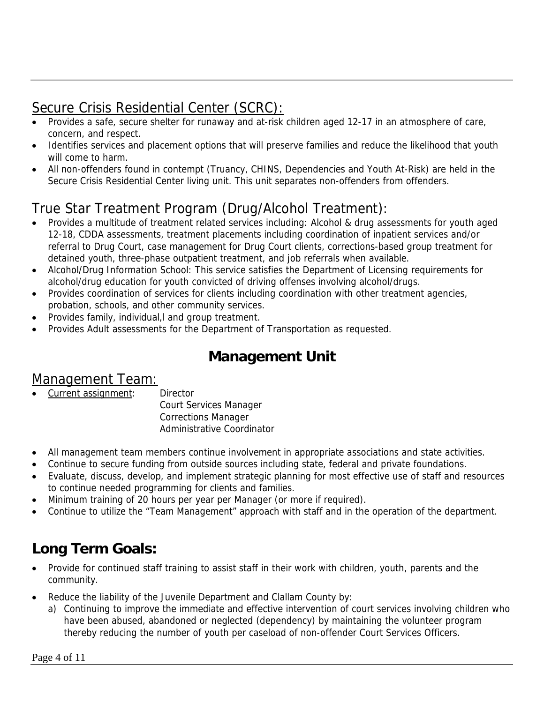### Secure Crisis Residential Center (SCRC):

- Provides a safe, secure shelter for runaway and at-risk children aged 12-17 in an atmosphere of care, concern, and respect.
- Identifies services and placement options that will preserve families and reduce the likelihood that youth will come to harm.
- All non-offenders found in contempt (Truancy, CHINS, Dependencies and Youth At-Risk) are held in the Secure Crisis Residential Center living unit. This unit separates non-offenders from offenders.

# True Star Treatment Program (Drug/Alcohol Treatment):

- Provides a multitude of treatment related services including: Alcohol & drug assessments for youth aged 12-18, CDDA assessments, treatment placements including coordination of inpatient services and/or referral to Drug Court, case management for Drug Court clients, corrections-based group treatment for detained youth, three-phase outpatient treatment, and job referrals when available.
- Alcohol/Drug Information School: This service satisfies the Department of Licensing requirements for alcohol/drug education for youth convicted of driving offenses involving alcohol/drugs.
- Provides coordination of services for clients including coordination with other treatment agencies, probation, schools, and other community services.
- Provides family, individual,l and group treatment.
- Provides Adult assessments for the Department of Transportation as requested.

### **Management Unit**

#### Management Team:

- Current assignment: Director Court Services Manager Corrections Manager Administrative Coordinator
- All management team members continue involvement in appropriate associations and state activities.
- Continue to secure funding from outside sources including state, federal and private foundations.
- Evaluate, discuss, develop, and implement strategic planning for most effective use of staff and resources to continue needed programming for clients and families.
- Minimum training of 20 hours per year per Manager (or more if required).
- Continue to utilize the "Team Management" approach with staff and in the operation of the department.

### **Long Term Goals:**

- Provide for continued staff training to assist staff in their work with children, youth, parents and the community.
- Reduce the liability of the Juvenile Department and Clallam County by:
	- a) Continuing to improve the immediate and effective intervention of court services involving children who have been abused, abandoned or neglected (dependency) by maintaining the volunteer program thereby reducing the number of youth per caseload of non-offender Court Services Officers.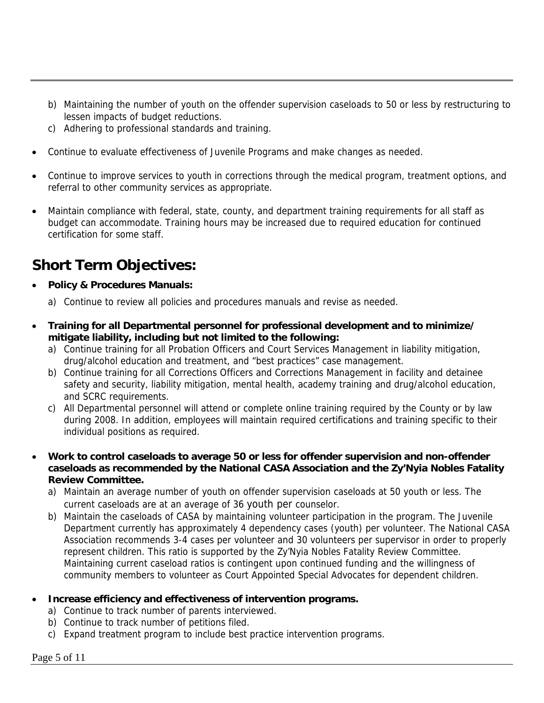- b) Maintaining the number of youth on the offender supervision caseloads to 50 or less by restructuring to lessen impacts of budget reductions.
- c) Adhering to professional standards and training.
- Continue to evaluate effectiveness of Juvenile Programs and make changes as needed.
- Continue to improve services to youth in corrections through the medical program, treatment options, and referral to other community services as appropriate.
- Maintain compliance with federal, state, county, and department training requirements for all staff as budget can accommodate. Training hours may be increased due to required education for continued certification for some staff.

### **Short Term Objectives:**

- **Policy & Procedures Manuals:** 
	- a) Continue to review all policies and procedures manuals and revise as needed.
- **Training for all Departmental personnel for professional development and to minimize/ mitigate liability, including but not limited to the following:** 
	- a) Continue training for all Probation Officers and Court Services Management in liability mitigation, drug/alcohol education and treatment, and "best practices" case management.
	- b) Continue training for all Corrections Officers and Corrections Management in facility and detainee safety and security, liability mitigation, mental health, academy training and drug/alcohol education, and SCRC requirements.
	- c) All Departmental personnel will attend or complete online training required by the County or by law during 2008. In addition, employees will maintain required certifications and training specific to their individual positions as required.
- **Work to control caseloads to average 50 or less for offender supervision and non-offender caseloads as recommended by the National CASA Association and the Zy'Nyia Nobles Fatality Review Committee.** 
	- a) Maintain an average number of youth on offender supervision caseloads at 50 youth or less. The current caseloads are at an average of 36 youth per counselor.
	- b) Maintain the caseloads of CASA by maintaining volunteer participation in the program. The Juvenile Department currently has approximately 4 dependency cases (youth) per volunteer. The National CASA Association recommends 3-4 cases per volunteer and 30 volunteers per supervisor in order to properly represent children. This ratio is supported by the Zy'Nyia Nobles Fatality Review Committee. Maintaining current caseload ratios is contingent upon continued funding and the willingness of community members to volunteer as Court Appointed Special Advocates for dependent children.

#### • **Increase efficiency and effectiveness of intervention programs.**

- a) Continue to track number of parents interviewed.
- b) Continue to track number of petitions filed.
- c) Expand treatment program to include best practice intervention programs.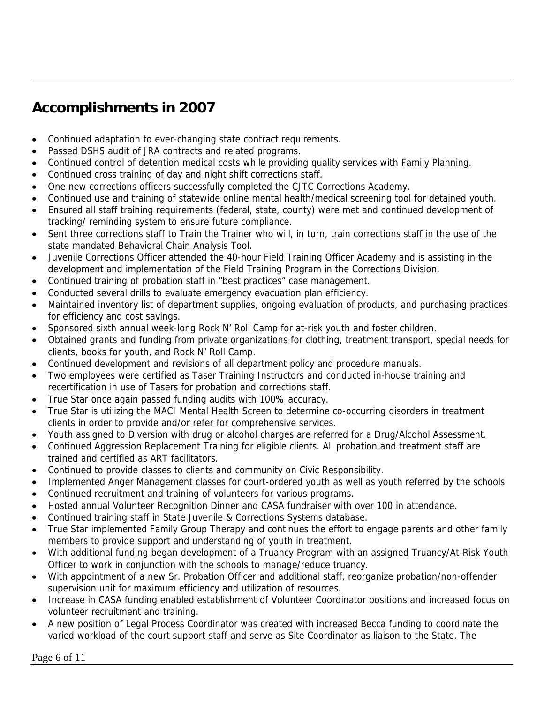### **Accomplishments in 2007**

- Continued adaptation to ever-changing state contract requirements.
- Passed DSHS audit of JRA contracts and related programs.
- Continued control of detention medical costs while providing quality services with Family Planning.
- Continued cross training of day and night shift corrections staff.
- One new corrections officers successfully completed the CJTC Corrections Academy.
- Continued use and training of statewide online mental health/medical screening tool for detained youth.
- Ensured all staff training requirements (federal, state, county) were met and continued development of tracking/ reminding system to ensure future compliance.
- Sent three corrections staff to Train the Trainer who will, in turn, train corrections staff in the use of the state mandated Behavioral Chain Analysis Tool.
- Juvenile Corrections Officer attended the 40-hour Field Training Officer Academy and is assisting in the development and implementation of the Field Training Program in the Corrections Division.
- Continued training of probation staff in "best practices" case management.
- Conducted several drills to evaluate emergency evacuation plan efficiency.
- Maintained inventory list of department supplies, ongoing evaluation of products, and purchasing practices for efficiency and cost savings.
- Sponsored sixth annual week-long Rock N' Roll Camp for at-risk youth and foster children.
- Obtained grants and funding from private organizations for clothing, treatment transport, special needs for clients, books for youth, and Rock N' Roll Camp.
- Continued development and revisions of all department policy and procedure manuals.
- Two employees were certified as Taser Training Instructors and conducted in-house training and recertification in use of Tasers for probation and corrections staff.
- True Star once again passed funding audits with 100% accuracy.
- True Star is utilizing the MACI Mental Health Screen to determine co-occurring disorders in treatment clients in order to provide and/or refer for comprehensive services.
- Youth assigned to Diversion with drug or alcohol charges are referred for a Drug/Alcohol Assessment.
- Continued Aggression Replacement Training for eligible clients. All probation and treatment staff are trained and certified as ART facilitators.
- Continued to provide classes to clients and community on Civic Responsibility.
- Implemented Anger Management classes for court-ordered youth as well as youth referred by the schools.
- Continued recruitment and training of volunteers for various programs.
- Hosted annual Volunteer Recognition Dinner and CASA fundraiser with over 100 in attendance.
- Continued training staff in State Juvenile & Corrections Systems database.
- True Star implemented Family Group Therapy and continues the effort to engage parents and other family members to provide support and understanding of youth in treatment.
- With additional funding began development of a Truancy Program with an assigned Truancy/At-Risk Youth Officer to work in conjunction with the schools to manage/reduce truancy.
- With appointment of a new Sr. Probation Officer and additional staff, reorganize probation/non-offender supervision unit for maximum efficiency and utilization of resources.
- Increase in CASA funding enabled establishment of Volunteer Coordinator positions and increased focus on volunteer recruitment and training.
- A new position of Legal Process Coordinator was created with increased Becca funding to coordinate the varied workload of the court support staff and serve as Site Coordinator as liaison to the State. The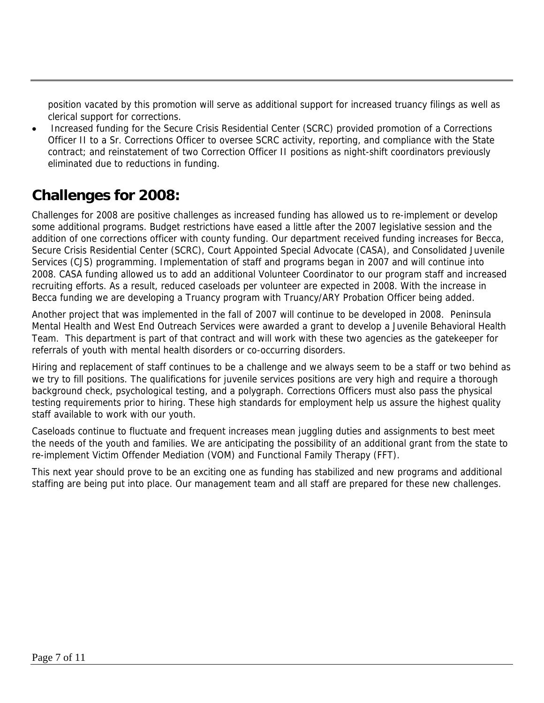position vacated by this promotion will serve as additional support for increased truancy filings as well as clerical support for corrections.

• Increased funding for the Secure Crisis Residential Center (SCRC) provided promotion of a Corrections Officer II to a Sr. Corrections Officer to oversee SCRC activity, reporting, and compliance with the State contract; and reinstatement of two Correction Officer II positions as night-shift coordinators previously eliminated due to reductions in funding.

#### **Challenges for 2008:**

Challenges for 2008 are positive challenges as increased funding has allowed us to re-implement or develop some additional programs. Budget restrictions have eased a little after the 2007 legislative session and the addition of one corrections officer with county funding. Our department received funding increases for Becca, Secure Crisis Residential Center (SCRC), Court Appointed Special Advocate (CASA), and Consolidated Juvenile Services (CJS) programming. Implementation of staff and programs began in 2007 and will continue into 2008. CASA funding allowed us to add an additional Volunteer Coordinator to our program staff and increased recruiting efforts. As a result, reduced caseloads per volunteer are expected in 2008. With the increase in Becca funding we are developing a Truancy program with Truancy/ARY Probation Officer being added.

Another project that was implemented in the fall of 2007 will continue to be developed in 2008. Peninsula Mental Health and West End Outreach Services were awarded a grant to develop a Juvenile Behavioral Health Team. This department is part of that contract and will work with these two agencies as the gatekeeper for referrals of youth with mental health disorders or co-occurring disorders.

Hiring and replacement of staff continues to be a challenge and we always seem to be a staff or two behind as we try to fill positions. The qualifications for juvenile services positions are very high and require a thorough background check, psychological testing, and a polygraph. Corrections Officers must also pass the physical testing requirements prior to hiring. These high standards for employment help us assure the highest quality staff available to work with our youth.

Caseloads continue to fluctuate and frequent increases mean juggling duties and assignments to best meet the needs of the youth and families. We are anticipating the possibility of an additional grant from the state to re-implement Victim Offender Mediation (VOM) and Functional Family Therapy (FFT).

This next year should prove to be an exciting one as funding has stabilized and new programs and additional staffing are being put into place. Our management team and all staff are prepared for these new challenges.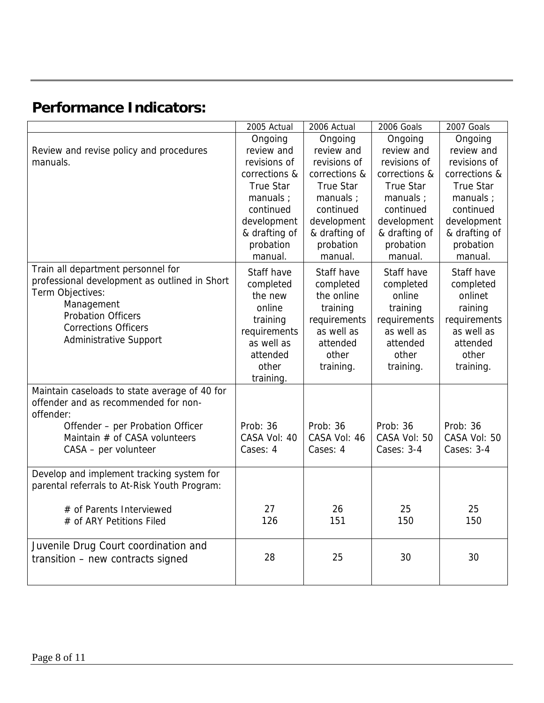## **Performance Indicators:**

|                                                                                                                                                                                                                    | 2005 Actual                                                                                                              | 2006 Actual                                                                                                       | 2006 Goals                                                                                                    | 2007 Goals                                                                                                    |
|--------------------------------------------------------------------------------------------------------------------------------------------------------------------------------------------------------------------|--------------------------------------------------------------------------------------------------------------------------|-------------------------------------------------------------------------------------------------------------------|---------------------------------------------------------------------------------------------------------------|---------------------------------------------------------------------------------------------------------------|
|                                                                                                                                                                                                                    | Ongoing                                                                                                                  | Ongoing                                                                                                           | Ongoing                                                                                                       | Ongoing                                                                                                       |
| Review and revise policy and procedures                                                                                                                                                                            | review and                                                                                                               | review and                                                                                                        | review and                                                                                                    | review and                                                                                                    |
| manuals.                                                                                                                                                                                                           | revisions of                                                                                                             | revisions of                                                                                                      | revisions of                                                                                                  | revisions of                                                                                                  |
|                                                                                                                                                                                                                    | corrections &                                                                                                            | corrections &                                                                                                     | corrections &                                                                                                 | corrections &                                                                                                 |
|                                                                                                                                                                                                                    | <b>True Star</b>                                                                                                         | <b>True Star</b>                                                                                                  | <b>True Star</b>                                                                                              | <b>True Star</b>                                                                                              |
|                                                                                                                                                                                                                    | manuals ;                                                                                                                | manuals ;                                                                                                         | manuals ;                                                                                                     | manuals ;                                                                                                     |
|                                                                                                                                                                                                                    | continued                                                                                                                | continued                                                                                                         | continued                                                                                                     | continued                                                                                                     |
|                                                                                                                                                                                                                    | development                                                                                                              | development                                                                                                       | development                                                                                                   | development                                                                                                   |
|                                                                                                                                                                                                                    | & drafting of                                                                                                            | & drafting of                                                                                                     | & drafting of                                                                                                 | & drafting of                                                                                                 |
|                                                                                                                                                                                                                    | probation                                                                                                                | probation                                                                                                         | probation                                                                                                     | probation                                                                                                     |
|                                                                                                                                                                                                                    | manual.                                                                                                                  | manual.                                                                                                           | manual.                                                                                                       | manual.                                                                                                       |
| Train all department personnel for<br>professional development as outlined in Short<br>Term Objectives:<br>Management<br><b>Probation Officers</b><br><b>Corrections Officers</b><br><b>Administrative Support</b> | Staff have<br>completed<br>the new<br>online<br>training<br>requirements<br>as well as<br>attended<br>other<br>training. | Staff have<br>completed<br>the online<br>training<br>requirements<br>as well as<br>attended<br>other<br>training. | Staff have<br>completed<br>online<br>training<br>requirements<br>as well as<br>attended<br>other<br>training. | Staff have<br>completed<br>onlinet<br>raining<br>requirements<br>as well as<br>attended<br>other<br>training. |
| Maintain caseloads to state average of 40 for<br>offender and as recommended for non-<br>offender:                                                                                                                 |                                                                                                                          |                                                                                                                   |                                                                                                               |                                                                                                               |
| Offender - per Probation Officer<br>Maintain # of CASA volunteers<br>CASA - per volunteer                                                                                                                          | Prob: 36<br>CASA Vol: 40<br>Cases: 4                                                                                     | Prob: 36<br>CASA Vol: 46<br>Cases: 4                                                                              | Prob: 36<br>CASA Vol: 50<br>Cases: 3-4                                                                        | Prob: 36<br>CASA Vol: 50<br>Cases: 3-4                                                                        |
| Develop and implement tracking system for<br>parental referrals to At-Risk Youth Program:                                                                                                                          |                                                                                                                          |                                                                                                                   |                                                                                                               |                                                                                                               |
| # of Parents Interviewed<br># of ARY Petitions Filed                                                                                                                                                               | 27<br>126                                                                                                                | 26<br>151                                                                                                         | 25<br>150                                                                                                     | 25<br>150                                                                                                     |
| Juvenile Drug Court coordination and<br>transition - new contracts signed                                                                                                                                          | 28                                                                                                                       | 25                                                                                                                | 30                                                                                                            | 30                                                                                                            |
|                                                                                                                                                                                                                    |                                                                                                                          |                                                                                                                   |                                                                                                               |                                                                                                               |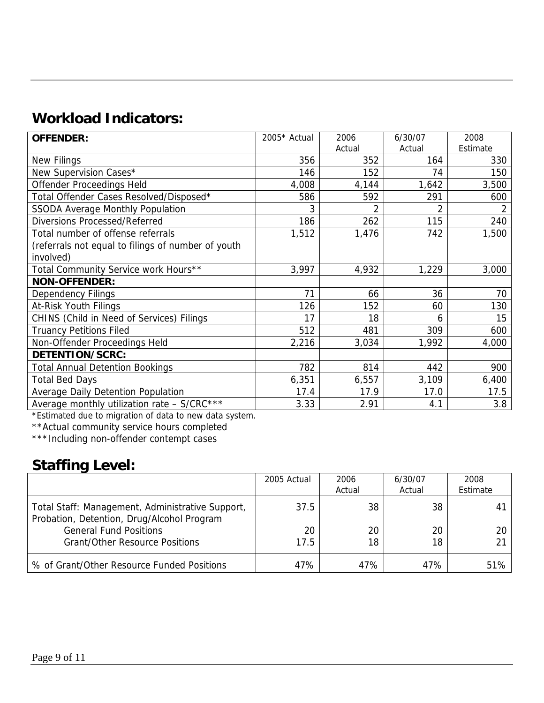## **Workload Indicators:**

| <b>OFFENDER:</b>                                   | 2005* Actual | 2006           | 6/30/07       | 2008           |
|----------------------------------------------------|--------------|----------------|---------------|----------------|
|                                                    |              | Actual         | Actual        | Estimate       |
| New Filings                                        | 356          | 352            | 164           | 330            |
| New Supervision Cases*                             | 146          | 152            | 74            | 150            |
| Offender Proceedings Held                          | 4,008        | 4,144          | 1,642         | 3,500          |
| Total Offender Cases Resolved/Disposed*            | 586          | 592            | 291           | 600            |
| <b>SSODA Average Monthly Population</b>            | 3            | $\mathfrak{D}$ | $\mathcal{P}$ | $\mathfrak{D}$ |
| <b>Diversions Processed/Referred</b>               | 186          | 262            | 115           | 240            |
| Total number of offense referrals                  | 1,512        | 1,476          | 742           | 1,500          |
| (referrals not equal to filings of number of youth |              |                |               |                |
| involved)                                          |              |                |               |                |
| Total Community Service work Hours**               | 3,997        | 4,932          | 1,229         | 3,000          |
| <b>NON-OFFENDER:</b>                               |              |                |               |                |
| <b>Dependency Filings</b>                          | 71           | 66             | 36            | 70             |
| At-Risk Youth Filings                              | 126          | 152            | 60            | 130            |
| CHINS (Child in Need of Services) Filings          | 17           | 18             | 6             | 15             |
| <b>Truancy Petitions Filed</b>                     | 512          | 481            | 309           | 600            |
| Non-Offender Proceedings Held                      | 2,216        | 3,034          | 1,992         | 4,000          |
| DETENTION/SCRC:                                    |              |                |               |                |
| <b>Total Annual Detention Bookings</b>             | 782          | 814            | 442           | 900            |
| <b>Total Bed Days</b>                              | 6,351        | 6,557          | 3,109         | 6,400          |
| Average Daily Detention Population                 | 17.4         | 17.9           | 17.0          | 17.5           |
| Average monthly utilization rate - S/CRC***        | 3.33         | 2.91           | 4.1           | 3.8            |

\*Estimated due to migration of data to new data system.

\*\*Actual community service hours completed

\*\*\*Including non-offender contempt cases

#### **Staffing Level:**

|                                                                                                | 2005 Actual | 2006   | 6/30/07 | 2008     |
|------------------------------------------------------------------------------------------------|-------------|--------|---------|----------|
|                                                                                                |             | Actual | Actual  | Estimate |
| Total Staff: Management, Administrative Support,<br>Probation, Detention, Drug/Alcohol Program | 37.5        | 38     | 38      | 41       |
| <b>General Fund Positions</b>                                                                  | 20          | 20     | 20      | 20       |
| <b>Grant/Other Resource Positions</b>                                                          | 17.5        | 18     | 18      | 21       |
| % of Grant/Other Resource Funded Positions                                                     | 47%         | 47%    | 47%     | 51%      |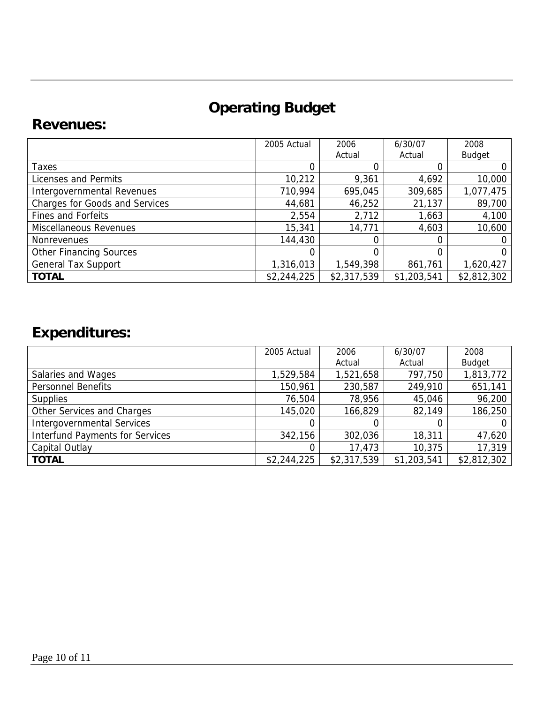# **Operating Budget**

#### **Revenues:**

|                                       | 2005 Actual | 2006        | 6/30/07     | 2008          |
|---------------------------------------|-------------|-------------|-------------|---------------|
|                                       |             | Actual      | Actual      | <b>Budget</b> |
| <b>Taxes</b>                          |             |             |             |               |
| Licenses and Permits                  | 10,212      | 9,361       | 4,692       | 10,000        |
| Intergovernmental Revenues            | 710,994     | 695,045     | 309,685     | 1,077,475     |
| <b>Charges for Goods and Services</b> | 44,681      | 46,252      | 21,137      | 89,700        |
| <b>Fines and Forfeits</b>             | 2,554       | 2,712       | 1,663       | 4,100         |
| Miscellaneous Revenues                | 15,341      | 14,771      | 4,603       | 10,600        |
| <b>Nonrevenues</b>                    | 144,430     |             |             |               |
| <b>Other Financing Sources</b>        |             | 0           | 0           | 0             |
| <b>General Tax Support</b>            | 1,316,013   | 1,549,398   | 861,761     | 1,620,427     |
| <b>TOTAL</b>                          | \$2,244,225 | \$2,317,539 | \$1,203,541 | \$2,812,302   |

# **Expenditures:**

|                                        | 2005 Actual | 2006        | 6/30/07     | 2008          |
|----------------------------------------|-------------|-------------|-------------|---------------|
|                                        |             | Actual      | Actual      | <b>Budget</b> |
| Salaries and Wages                     | 1,529,584   | 1,521,658   | 797,750     | 1,813,772     |
| <b>Personnel Benefits</b>              | 150,961     | 230,587     | 249,910     | 651,141       |
| <b>Supplies</b>                        | 76,504      | 78,956      | 45,046      | 96,200        |
| Other Services and Charges             | 145,020     | 166,829     | 82,149      | 186,250       |
| <b>Intergovernmental Services</b>      |             | 0           |             |               |
| <b>Interfund Payments for Services</b> | 342,156     | 302,036     | 18,311      | 47,620        |
| Capital Outlay                         |             | 17,473      | 10,375      | 17,319        |
| <b>TOTAL</b>                           | \$2,244,225 | \$2,317,539 | \$1,203,541 | \$2,812,302   |